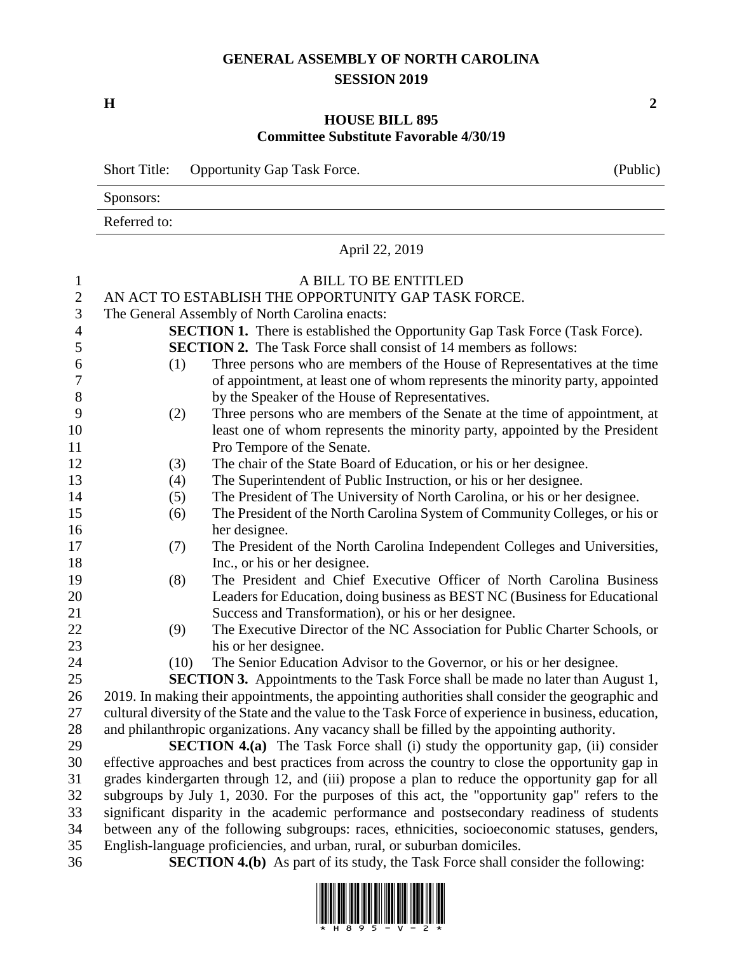## **GENERAL ASSEMBLY OF NORTH CAROLINA SESSION 2019**

**H 2**

## **HOUSE BILL 895 Committee Substitute Favorable 4/30/19**

|                | <b>Opportunity Gap Task Force.</b><br><b>Short Title:</b>                                                                                                                                         |                                                                                        |  |  |  |
|----------------|---------------------------------------------------------------------------------------------------------------------------------------------------------------------------------------------------|----------------------------------------------------------------------------------------|--|--|--|
|                | Sponsors:                                                                                                                                                                                         |                                                                                        |  |  |  |
|                | Referred to:                                                                                                                                                                                      |                                                                                        |  |  |  |
|                | April 22, 2019                                                                                                                                                                                    |                                                                                        |  |  |  |
| $\mathbf{1}$   |                                                                                                                                                                                                   | A BILL TO BE ENTITLED                                                                  |  |  |  |
| $\mathbf{2}$   | AN ACT TO ESTABLISH THE OPPORTUNITY GAP TASK FORCE.                                                                                                                                               |                                                                                        |  |  |  |
| 3              | The General Assembly of North Carolina enacts:                                                                                                                                                    |                                                                                        |  |  |  |
| $\overline{4}$ | <b>SECTION 1.</b> There is established the Opportunity Gap Task Force (Task Force).                                                                                                               |                                                                                        |  |  |  |
| 5              | <b>SECTION 2.</b> The Task Force shall consist of 14 members as follows:                                                                                                                          |                                                                                        |  |  |  |
| 6              | (1)                                                                                                                                                                                               | Three persons who are members of the House of Representatives at the time              |  |  |  |
| 7              |                                                                                                                                                                                                   | of appointment, at least one of whom represents the minority party, appointed          |  |  |  |
| 8              |                                                                                                                                                                                                   | by the Speaker of the House of Representatives.                                        |  |  |  |
| 9              | (2)                                                                                                                                                                                               | Three persons who are members of the Senate at the time of appointment, at             |  |  |  |
| 10             |                                                                                                                                                                                                   | least one of whom represents the minority party, appointed by the President            |  |  |  |
| 11             |                                                                                                                                                                                                   | Pro Tempore of the Senate.                                                             |  |  |  |
| 12             | (3)                                                                                                                                                                                               | The chair of the State Board of Education, or his or her designee.                     |  |  |  |
| 13             | (4)                                                                                                                                                                                               | The Superintendent of Public Instruction, or his or her designee.                      |  |  |  |
| 14             | (5)                                                                                                                                                                                               | The President of The University of North Carolina, or his or her designee.             |  |  |  |
| 15             | (6)                                                                                                                                                                                               | The President of the North Carolina System of Community Colleges, or his or            |  |  |  |
| 16             |                                                                                                                                                                                                   | her designee.                                                                          |  |  |  |
| 17             | (7)                                                                                                                                                                                               | The President of the North Carolina Independent Colleges and Universities,             |  |  |  |
| 18             |                                                                                                                                                                                                   | Inc., or his or her designee.                                                          |  |  |  |
| 19             | (8)                                                                                                                                                                                               | The President and Chief Executive Officer of North Carolina Business                   |  |  |  |
| 20             |                                                                                                                                                                                                   | Leaders for Education, doing business as BEST NC (Business for Educational             |  |  |  |
| 21             |                                                                                                                                                                                                   | Success and Transformation), or his or her designee.                                   |  |  |  |
| 22             | (9)                                                                                                                                                                                               | The Executive Director of the NC Association for Public Charter Schools, or            |  |  |  |
| 23             |                                                                                                                                                                                                   | his or her designee.                                                                   |  |  |  |
| 24             | (10)                                                                                                                                                                                              | The Senior Education Advisor to the Governor, or his or her designee.                  |  |  |  |
| 25             |                                                                                                                                                                                                   | <b>SECTION 3.</b> Appointments to the Task Force shall be made no later than August 1, |  |  |  |
| 26             | 2019. In making their appointments, the appointing authorities shall consider the geographic and                                                                                                  |                                                                                        |  |  |  |
| 27             | cultural diversity of the State and the value to the Task Force of experience in business, education,                                                                                             |                                                                                        |  |  |  |
| 28             | and philanthropic organizations. Any vacancy shall be filled by the appointing authority.                                                                                                         |                                                                                        |  |  |  |
| 29<br>30       | <b>SECTION 4.(a)</b> The Task Force shall (i) study the opportunity gap, (ii) consider                                                                                                            |                                                                                        |  |  |  |
| 31             | effective approaches and best practices from across the country to close the opportunity gap in<br>grades kindergarten through 12, and (iii) propose a plan to reduce the opportunity gap for all |                                                                                        |  |  |  |
| 32             | subgroups by July 1, 2030. For the purposes of this act, the "opportunity gap" refers to the                                                                                                      |                                                                                        |  |  |  |
| 33             | significant disparity in the academic performance and postsecondary readiness of students                                                                                                         |                                                                                        |  |  |  |
| 34             | between any of the following subgroups: races, ethnicities, socioeconomic statuses, genders,                                                                                                      |                                                                                        |  |  |  |
| 35             | English-language proficiencies, and urban, rural, or suburban domiciles.                                                                                                                          |                                                                                        |  |  |  |
| 36             | <b>SECTION 4.(b)</b> As part of its study, the Task Force shall consider the following:                                                                                                           |                                                                                        |  |  |  |

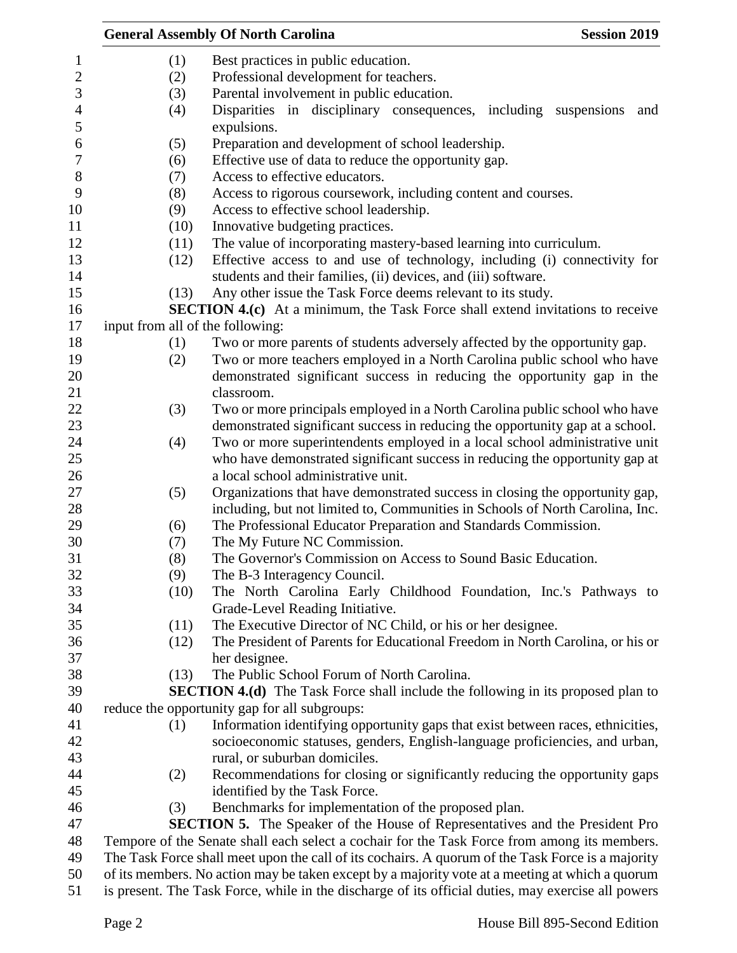|      | <b>General Assembly Of North Carolina</b><br><b>Session 2019</b>                                                                                                                                     |
|------|------------------------------------------------------------------------------------------------------------------------------------------------------------------------------------------------------|
| (1)  | Best practices in public education.                                                                                                                                                                  |
| (2)  | Professional development for teachers.                                                                                                                                                               |
| (3)  | Parental involvement in public education.                                                                                                                                                            |
| (4)  | Disparities in disciplinary consequences, including<br>suspensions<br>and                                                                                                                            |
|      | expulsions.                                                                                                                                                                                          |
| (5)  | Preparation and development of school leadership.                                                                                                                                                    |
| (6)  | Effective use of data to reduce the opportunity gap.                                                                                                                                                 |
| (7)  | Access to effective educators.                                                                                                                                                                       |
| (8)  | Access to rigorous coursework, including content and courses.                                                                                                                                        |
| (9)  | Access to effective school leadership.                                                                                                                                                               |
| (10) | Innovative budgeting practices.                                                                                                                                                                      |
| (11) | The value of incorporating mastery-based learning into curriculum.                                                                                                                                   |
| (12) | Effective access to and use of technology, including (i) connectivity for                                                                                                                            |
|      | students and their families, (ii) devices, and (iii) software.                                                                                                                                       |
| (13) | Any other issue the Task Force deems relevant to its study.                                                                                                                                          |
|      | <b>SECTION 4.(c)</b> At a minimum, the Task Force shall extend invitations to receive                                                                                                                |
|      | input from all of the following:                                                                                                                                                                     |
| (1)  | Two or more parents of students adversely affected by the opportunity gap.                                                                                                                           |
| (2)  | Two or more teachers employed in a North Carolina public school who have                                                                                                                             |
|      | demonstrated significant success in reducing the opportunity gap in the                                                                                                                              |
|      | classroom.                                                                                                                                                                                           |
| (3)  | Two or more principals employed in a North Carolina public school who have                                                                                                                           |
|      | demonstrated significant success in reducing the opportunity gap at a school.                                                                                                                        |
| (4)  | Two or more superintendents employed in a local school administrative unit                                                                                                                           |
|      | who have demonstrated significant success in reducing the opportunity gap at                                                                                                                         |
|      | a local school administrative unit.                                                                                                                                                                  |
| (5)  | Organizations that have demonstrated success in closing the opportunity gap,                                                                                                                         |
|      | including, but not limited to, Communities in Schools of North Carolina, Inc.                                                                                                                        |
| (6)  | The Professional Educator Preparation and Standards Commission.                                                                                                                                      |
| (7)  | The My Future NC Commission.                                                                                                                                                                         |
| (8)  | The Governor's Commission on Access to Sound Basic Education                                                                                                                                         |
| (9)  | The B-3 Interagency Council.                                                                                                                                                                         |
| (10) | The North Carolina Early Childhood Foundation, Inc.'s Pathways to                                                                                                                                    |
|      | Grade-Level Reading Initiative.                                                                                                                                                                      |
| (11) | The Executive Director of NC Child, or his or her designee.                                                                                                                                          |
| (12) | The President of Parents for Educational Freedom in North Carolina, or his or                                                                                                                        |
|      | her designee.                                                                                                                                                                                        |
| (13) | The Public School Forum of North Carolina.                                                                                                                                                           |
|      | <b>SECTION 4.(d)</b> The Task Force shall include the following in its proposed plan to                                                                                                              |
|      | reduce the opportunity gap for all subgroups:                                                                                                                                                        |
| (1)  | Information identifying opportunity gaps that exist between races, ethnicities,                                                                                                                      |
|      | socioeconomic statuses, genders, English-language proficiencies, and urban,                                                                                                                          |
|      | rural, or suburban domiciles.                                                                                                                                                                        |
| (2)  | Recommendations for closing or significantly reducing the opportunity gaps                                                                                                                           |
|      | identified by the Task Force.                                                                                                                                                                        |
| (3)  | Benchmarks for implementation of the proposed plan.                                                                                                                                                  |
|      | <b>SECTION 5.</b> The Speaker of the House of Representatives and the President Pro                                                                                                                  |
|      | Tempore of the Senate shall each select a cochair for the Task Force from among its members.                                                                                                         |
|      | The Task Force shall meet upon the call of its cochairs. A quorum of the Task Force is a majority<br>of its members. No action may be taken except by a majority vote at a meeting at which a quorum |
|      |                                                                                                                                                                                                      |